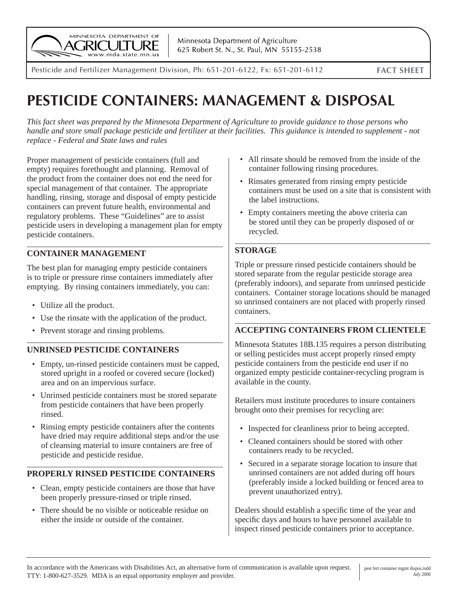

Minnesota Department of Agriculture 625 Robert St. N., St. Paul, MN 55155-2538

Pesticide and Fertilizer Management Division, Ph: 651-201-6122, Fx: 651-201-6112 **FACT SHEET**

# **PESTICIDE CONTAINERS: MANAGEMENT & DISPOSAL**

*This fact sheet was prepared by the Minnesota Department of Agriculture to provide guidance to those persons who handle and store small package pesticide and fertilizer at their facilities. This guidance is intended to supplement - not replace - Federal and State laws and rules*

Proper management of pesticide containers (full and empty) requires forethought and planning. Removal of the product from the container does not end the need for special management of that container. The appropriate handling, rinsing, storage and disposal of empty pesticide containers can prevent future health, environmental and regulatory problems. These "Guidelines" are to assist pesticide users in developing a management plan for empty pesticide containers.

# **CONTAINER MANAGEMENT**

The best plan for managing empty pesticide containers is to triple or pressure rinse containers immediately after emptying. By rinsing containers immediately, you can:

- Utilize all the product.
- Use the rinsate with the application of the product.
- Prevent storage and rinsing problems.

## **UNRINSED PESTICIDE CONTAINERS**

- Empty, un-rinsed pesticide containers must be capped, stored upright in a roofed or covered secure (locked) area and on an impervious surface.
- Unrinsed pesticide containers must be stored separate from pesticide containers that have been properly rinsed.
- Rinsing empty pesticide containers after the contents have dried may require additional steps and/or the use of cleansing material to insure containers are free of pesticide and pesticide residue.

# **PROPERLY RINSED PESTICIDE CONTAINERS**

- Clean, empty pesticide containers are those that have been properly pressure-rinsed or triple rinsed.
- There should be no visible or noticeable residue on either the inside or outside of the container.
- All rinsate should be removed from the inside of the container following rinsing procedures.
- Rinsates generated from rinsing empty pesticide containers must be used on a site that is consistent with the label instructions.
- Empty containers meeting the above criteria can be stored until they can be properly disposed of or recycled.

# **STORAGE**

Triple or pressure rinsed pesticide containers should be stored separate from the regular pesticide storage area (preferably indoors), and separate from unrinsed pesticide containers. Container storage locations should be managed so unrinsed containers are not placed with properly rinsed containers.

## **ACCEPTING CONTAINERS FROM CLIENTELE**

Minnesota Statutes 18B.135 requires a person distributing or selling pesticides must accept properly rinsed empty pesticide containers from the pesticide end user if no organized empty pesticide container-recycling program is available in the county.

Retailers must institute procedures to insure containers brought onto their premises for recycling are:

- Inspected for cleanliness prior to being accepted.
- Cleaned containers should be stored with other containers ready to be recycled.
- Secured in a separate storage location to insure that unrinsed containers are not added during off hours (preferably inside a locked building or fenced area to prevent unauthorized entry).

Dealers should establish a specific time of the year and specific days and hours to have personnel available to inspect rinsed pesticide containers prior to acceptance.